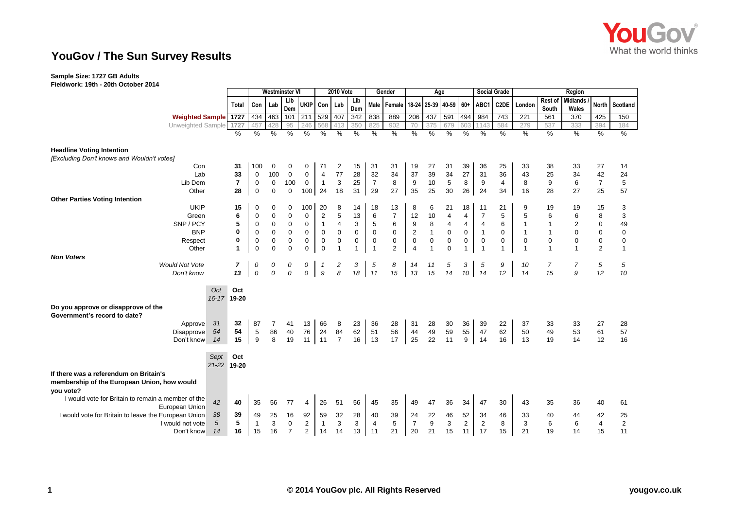

# **YouGov / The Sun Survey Results**

# **Sample Size: 1727 GB Adults**

**Fieldwork: 19th - 20th October 2014**

|                                                      |                             |                    | <b>Westminster VI</b>   |                |             |                |                |                   | <b>2010 Vote</b> |              |                  | Gender                                      | Age            |              |                |                |                         | <b>Social Grade</b> | Region         |                |                 |                  |                |  |
|------------------------------------------------------|-----------------------------|--------------------|-------------------------|----------------|-------------|----------------|----------------|-------------------|------------------|--------------|------------------|---------------------------------------------|----------------|--------------|----------------|----------------|-------------------------|---------------------|----------------|----------------|-----------------|------------------|----------------|--|
|                                                      |                             |                    |                         |                |             | Lib            |                |                   |                  | Lib          |                  |                                             |                |              |                |                |                         |                     |                | Rest of        | <b>Midlands</b> |                  |                |  |
|                                                      |                             |                    | Total                   | Con            | Lab         | Dem            | <b>UKIP</b>    | Con I             | Lab              | Dem          |                  | Male   Female   18-24   25-39   40-59   60+ |                |              |                |                | ABC1                    | C <sub>2</sub> DE   | London         | South          | Wales           |                  | North Scotland |  |
|                                                      | <b>Weighted Sample</b> 1727 |                    |                         | 434            | 463         | 101            | 211            | 529               | 407              | 342          | 838              | 889                                         | 206            | 437          | 591            | 494            | 984                     | 743                 | 221            | 561            | 370             | 425              | 150            |  |
|                                                      | Unweighted Sample           |                    | 1727                    | 457            | 428         | 95             | 246            | 568               |                  | 350          | 825              | 902                                         | 70             | 375          | 679            | 603            | 1143                    | 584                 | 279            | 537            | 333             | 394              | 184            |  |
|                                                      |                             |                    | %                       | $\%$           | %           | %              | $\%$           | %                 | $\frac{0}{0}$    | $\%$         | $\frac{0}{0}$    | %                                           | %              | %            | %              | %              | $\%$                    | %                   | %              | %              | $\%$            | $\%$             | %              |  |
| <b>Headline Voting Intention</b>                     |                             |                    |                         |                |             |                |                |                   |                  |              |                  |                                             |                |              |                |                |                         |                     |                |                |                 |                  |                |  |
| [Excluding Don't knows and Wouldn't votes]           |                             |                    |                         |                |             |                |                |                   |                  |              |                  |                                             |                |              |                |                |                         |                     |                |                |                 |                  |                |  |
|                                                      | Con                         |                    | 31                      | 100            | $\mathbf 0$ | 0              | 0              | 71                | 2                | 15           | 31               | 31                                          | 19             | 27           | 31             | 39             | 36                      | 25                  | 33             | 38             | 33              | 27               | 14             |  |
|                                                      | Lab                         |                    | 33                      | $\mathbf 0$    | 100         | $\mathbf 0$    | $\mathbf 0$    | $\overline{4}$    | 77               | 28           | 32               | 34                                          | 37             | 39           | 34             | 27             | 31                      | 36                  | 43             | 25             | 34              | 42               | 24             |  |
|                                                      | Lib Dem                     |                    | $\overline{\mathbf{r}}$ | $\mathbf 0$    | $\mathbf 0$ | 100            | $\mathbf 0$    | $\overline{1}$    | $\mathbf{3}$     | 25           | $\overline{7}$   | 8                                           | 9              | 10           | 5              | 8              | 9                       | 4                   | 8              | 9              | 6               | $\overline{7}$   | 5              |  |
|                                                      | Other                       |                    | 28                      | $\mathbf 0$    | $\pmb{0}$   | $\mathbf 0$    | 100            | 24                | 18               | 31           | 29               | 27                                          | 35             | 25           | 30             | 26             | 24                      | 34                  | 16             | 28             | 27              | 25               | 57             |  |
| <b>Other Parties Voting Intention</b>                |                             |                    |                         |                |             |                |                |                   |                  |              |                  |                                             |                |              |                |                |                         |                     |                |                |                 |                  |                |  |
|                                                      | <b>UKIP</b>                 |                    | 15                      | 0              | 0           | 0              | 100            | 20                | 8                | 14           | 18               | 13                                          | 8              | 6            | 21             | 18             | 11                      | 21                  | 9              | 19             | 19              | 15               | 3              |  |
|                                                      | Green                       |                    | 6                       | $\mathbf 0$    | $\mathbf 0$ | $\mathbf 0$    | 0              | $\overline{c}$    | 5                | 13           | 6                | $\overline{7}$                              | 12             | 10           | $\overline{4}$ | $\overline{4}$ | $\overline{7}$          | 5                   | 5              | 6              | 6               | 8                | 3              |  |
|                                                      | SNP/PCY                     |                    | 5                       | 0              | $\pmb{0}$   | $\mathbf 0$    | $\mathbf 0$    | $\mathbf{1}$      | 4                | 3            | 5                | 6                                           | 9              | 8            | $\overline{4}$ | $\overline{4}$ | $\overline{\mathbf{4}}$ | 6                   | -1             | $\mathbf{1}$   | 2               | 0                | 49             |  |
|                                                      | <b>BNP</b>                  |                    | $\bf{0}$                | 0              | $\pmb{0}$   | $\mathbf 0$    | 0              | 0                 | 0                | $\mathbf 0$  | $\mathbf 0$      | $\pmb{0}$                                   | $\overline{2}$ | $\mathbf{1}$ | 0              | $\mathbf 0$    | $\mathbf{1}$            | $\mathbf 0$         | $\overline{1}$ | $\mathbf{1}$   | 0               | 0                | 0              |  |
|                                                      | Respect                     |                    | 0                       | $\mathbf 0$    | $\pmb{0}$   | $\pmb{0}$      | 0              | $\pmb{0}$         | 0                | $\mathbf 0$  | $\boldsymbol{0}$ | $\mathsf 0$                                 | $\mathbf 0$    | $\mathbf 0$  | $\mathsf 0$    | $\mathbf 0$    | $\mathbf 0$             | $\mathbf 0$         | $\mathbf 0$    | $\mathbf 0$    | $\mathbf 0$     | $\boldsymbol{0}$ | 0              |  |
|                                                      | Other                       |                    | 1                       | $\mathbf 0$    | $\Omega$    | $\mathbf 0$    | $\mathbf 0$    | $\mathbf 0$       | $\overline{1}$   | $\mathbf{1}$ | $\overline{1}$   | $\overline{2}$                              | $\overline{4}$ | $\mathbf{1}$ | $\mathbf 0$    | $\mathbf{1}$   | $\overline{1}$          | $\mathbf{1}$        | $\overline{1}$ | $\overline{1}$ | $\overline{1}$  | 2                | $\mathbf{1}$   |  |
| <b>Non Voters</b>                                    |                             |                    |                         |                |             |                |                |                   |                  |              |                  |                                             |                |              |                |                |                         |                     |                |                |                 |                  |                |  |
|                                                      | <b>Would Not Vote</b>       |                    | 7                       | 0              | 0<br>0      | 0<br>0         | 0              | $\mathbf{1}$<br>9 | 2<br>8           | 3            | 5                | 8                                           | 14             | 11           | 5              | 3              | 5                       | 9                   | 10             | 7<br>15        | 7               | 5                | 5              |  |
|                                                      | Don't know                  |                    | 13                      | $\mathcal{O}$  |             |                | 0              |                   |                  | 18           | 11               | 15                                          | 13             | 15           | 14             | 10             | 14                      | 12                  | 14             |                | 9               | 12               | 10             |  |
|                                                      |                             |                    |                         |                |             |                |                |                   |                  |              |                  |                                             |                |              |                |                |                         |                     |                |                |                 |                  |                |  |
|                                                      |                             | Oct<br>16-17 19-20 | Oct                     |                |             |                |                |                   |                  |              |                  |                                             |                |              |                |                |                         |                     |                |                |                 |                  |                |  |
|                                                      |                             |                    |                         |                |             |                |                |                   |                  |              |                  |                                             |                |              |                |                |                         |                     |                |                |                 |                  |                |  |
| Do you approve or disapprove of the                  |                             |                    |                         |                |             |                |                |                   |                  |              |                  |                                             |                |              |                |                |                         |                     |                |                |                 |                  |                |  |
| Government's record to date?                         |                             | 31                 | 32                      |                |             |                |                |                   |                  |              |                  |                                             |                |              |                |                |                         |                     |                |                |                 |                  |                |  |
|                                                      | Approve<br>Disapprove       | 54                 | 54                      | 87<br>5        | 7<br>86     | 41<br>40       | 13             | 66                | 8<br>84          | 23<br>62     | 36<br>51         | 28<br>56                                    | 31<br>44       | 28<br>49     | 30<br>59       | 36<br>55       | 39<br>47                | 22<br>62            | 37<br>50       | 33<br>49       | 33<br>53        | 27<br>61         | 28<br>57       |  |
|                                                      | Don't know                  | 14                 | 15                      | 9              | 8           | 19             | 76<br>11       | 24<br>$\vert$ 11  | $\overline{7}$   | 16           | 13               | 17                                          | 25             | 22           | 11             | 9              | 14                      | 16                  | 13             | 19             | 14              | 12               | 16             |  |
|                                                      |                             |                    |                         |                |             |                |                |                   |                  |              |                  |                                             |                |              |                |                |                         |                     |                |                |                 |                  |                |  |
|                                                      |                             | Sept               | Oct                     |                |             |                |                |                   |                  |              |                  |                                             |                |              |                |                |                         |                     |                |                |                 |                  |                |  |
|                                                      |                             | 21-22 19-20        |                         |                |             |                |                |                   |                  |              |                  |                                             |                |              |                |                |                         |                     |                |                |                 |                  |                |  |
| If there was a referendum on Britain's               |                             |                    |                         |                |             |                |                |                   |                  |              |                  |                                             |                |              |                |                |                         |                     |                |                |                 |                  |                |  |
| membership of the European Union, how would          |                             |                    |                         |                |             |                |                |                   |                  |              |                  |                                             |                |              |                |                |                         |                     |                |                |                 |                  |                |  |
| you vote?                                            |                             |                    |                         |                |             |                |                |                   |                  |              |                  |                                             |                |              |                |                |                         |                     |                |                |                 |                  |                |  |
| I would vote for Britain to remain a member of the   |                             |                    |                         |                |             |                |                |                   |                  |              |                  |                                             |                |              |                |                |                         |                     |                |                |                 |                  |                |  |
|                                                      | European Union              | 42                 | 40                      | 35             | 56          | 77             | 4              | 26                | 51               | 56           | 45               | 35                                          | 49             | 47           | 36             | 34             | 47                      | 30                  | 43             | 35             | 36              | 40               | 61             |  |
| I would vote for Britain to leave the European Union |                             | 38                 | 39                      | 49             | 25          | 16             | 92             | 59                | 32               | 28           | 40               | 39                                          | 24             | 22           | 46             | 52             | 34                      | 46                  | 33             | 40             | 44              | 42               | 25             |  |
|                                                      | I would not vote            | 5                  | 5                       | $\overline{1}$ | 3           | $\mathbf 0$    | $\overline{c}$ | $\mathbf{1}$      | 3                | 3            | $\overline{4}$   | 5                                           | $\overline{7}$ | 9            | 3              | $\overline{c}$ | $\overline{c}$          | 8                   | 3              | 6              | 6               | $\overline{4}$   | $\sqrt{2}$     |  |
|                                                      | Don't know                  | 14                 | 16                      | 15             | 16          | $\overline{7}$ | $\overline{2}$ | 14                | 14               | 13           | 11               | 21                                          | 20             | 21           | 15             | 11             | 17                      | 15                  | 21             | 19             | 14              | 15               | 11             |  |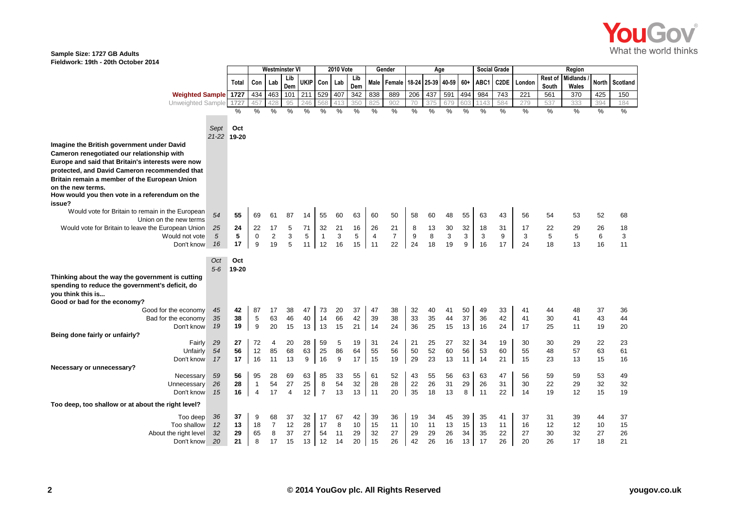

| <b>Midlands</b><br>Rest of<br>Lib<br>Lib<br>ukip<br>18-24<br>40-59<br>$60+$<br>C <sub>2</sub> DE<br>Con<br>Male<br>25-39<br>ABC1<br><b>North</b><br>Lab<br>Con<br>Female<br>London<br>Scotland<br>Total<br>Lab<br>Dem<br>Dem<br>South<br>Wales<br>434<br><b>Weighted Sample 1727</b><br>529<br>838<br>889<br>206<br>437<br>591<br>494<br>984<br>463<br>101<br>211<br>407<br>342<br>743<br>221<br>561<br>370<br>425<br>150<br>Unweighted Sample<br>1727<br>825<br>584<br>279<br>457<br>95<br>246<br>350<br>902<br>70<br>375<br>679<br>537<br>333<br>394<br>184<br>1143<br>428<br>413<br>603<br>568<br>$\frac{1}{2}$<br>%<br>$\%$<br>$\%$<br>$\frac{0}{0}$<br>$\frac{0}{0}$<br>$\frac{0}{0}$<br>$\frac{0}{0}$<br>$\%$<br>%<br>%<br>$\%$<br>%<br>%<br>%<br>$\%$<br>%<br>$\%$<br>$\%$<br>$\%$<br>$\%$<br>Sept<br>Oct<br>21-22 19-20<br>Imagine the British government under David<br>Cameron renegotiated our relationship with<br>Europe and said that Britain's interests were now<br>protected, and David Cameron recommended that<br>Britain remain a member of the European Union<br>on the new terms.<br>How would you then vote in a referendum on the<br>issue?<br>Would vote for Britain to remain in the European<br>54<br>55<br>69<br>63<br>50<br>63<br>52<br>61<br>87<br>55<br>60<br>60<br>58<br>60<br>48<br>55<br>43<br>56<br>54<br>53<br>68<br>14<br>Union on the new terms<br>24<br>30<br>32<br>Would vote for Britain to leave the European Union<br>25<br>22<br>17<br>5<br>32<br>21<br>16<br>26<br>21<br>8<br>13<br>18<br>31<br>17<br>22<br>29<br>26<br>18<br>71<br>$\overline{7}$<br>3<br>5<br>$\mathbf 0$<br>$\overline{c}$<br>5<br>3<br>5<br>9<br>8<br>3<br>5<br>5<br>6<br>3<br>5<br>3<br>$\overline{1}$<br>$\overline{4}$<br>3<br>9<br>3<br>Would not vote<br>9<br>5<br>12<br>16<br>15<br>11<br>24<br>19<br>9<br>Don't know<br>16<br>17<br>19<br>11<br>22<br>18<br>16<br>24<br>18<br>13<br>16<br>11<br>17<br>Oct<br>Oct<br>$5 - 6$<br>19-20<br>Thinking about the way the government is cutting<br>spending to reduce the government's deficit, do<br>you think this is<br>Good or bad for the economy?<br>42<br>45<br>87<br>73<br>37<br>32<br>37<br>Good for the economy<br>38<br>47<br>20<br>47<br>38<br>40<br>50<br>49<br>33<br>48<br>17<br>41<br>41<br>44<br>36<br>5<br>46<br>66<br>42<br>33<br>35<br>44<br>37<br>43<br>35<br>38<br>63<br>14<br>39<br>38<br>36<br>42<br>41<br>30<br>41<br>44<br>Bad for the economy<br>40<br>9<br>20<br>15<br>21<br>24<br>36<br>25<br>15<br>13<br>24<br>19<br>19<br>15<br>13<br>13<br>14<br>16<br>17<br>25<br>19<br>20<br>Don't know<br>11<br>Being done fairly or unfairly?<br>27<br>72<br>32<br>22<br>29<br>20<br>28<br>59<br>5<br>19<br>31<br>24<br>21<br>25<br>27<br>34<br>19<br>30<br>30<br>29<br>23<br>Fairly<br>4<br>86<br>52<br>56<br>54<br>56<br>12<br>68<br>63<br>25<br>64<br>55<br>56<br>50<br>60<br>55<br>48<br>57<br>63<br>61<br>Unfairly<br>85<br>53<br>60<br>16<br>13<br>9<br>9<br>17<br>15<br>29<br>23<br>21<br>17<br>16<br>19<br>13<br>11<br>14<br>15<br>23<br>15<br>16<br>Don't know<br>17<br>11<br>13<br>Necessary or unnecessary?<br>63<br>56<br>95<br>63<br>85<br>33<br>55<br>61<br>52<br>56<br>47<br>56<br>59<br>53<br>49<br>Necessary<br>59<br>28<br>69<br>43<br>55<br>63<br>59<br>54<br>31<br>29<br>32<br>54<br>27<br>25<br>8<br>32<br>28<br>28<br>22<br>26<br>30<br>22<br>29<br>32<br>26<br>28<br>$\mathbf{1}$<br>26<br>31<br>Unnecessary<br>$\overline{7}$<br>8<br>16<br>17<br>12<br>13<br>13<br>20<br>35<br>18<br>13<br>22<br>15<br>11<br>11<br>19<br>12<br>15<br>19<br>Don't know<br>$\overline{4}$<br>$\overline{4}$<br>14<br>Too deep, too shallow or at about the right level?<br>37<br>36<br>9<br>32<br>67<br>42<br>39<br>36<br>45<br>39<br>68<br>37<br>17<br>19<br>34<br>35<br>37<br>31<br>39<br>44<br>37<br>Too deep<br>41<br>15<br>12<br>13<br>$\overline{7}$<br>12<br>28<br>17<br>8<br>10<br>13<br>15<br>Too shallow<br>18<br>15<br>11<br>10<br>11<br>13<br>16<br>12<br>12<br>10<br>11<br>37<br>32<br>29<br>8<br>27<br>54<br>11<br>29<br>32<br>27<br>29<br>26<br>34<br>35<br>27<br>30<br>32<br>27<br>26<br>About the right level<br>65<br>29<br>22 |            |    |    | Westminster Vl |    |    | <b>2010 Vote</b> |    |    | Gender |    |    | Age |    |    |    |    | <b>Social Grade</b> |    |    |    |    |    |
|---------------------------------------------------------------------------------------------------------------------------------------------------------------------------------------------------------------------------------------------------------------------------------------------------------------------------------------------------------------------------------------------------------------------------------------------------------------------------------------------------------------------------------------------------------------------------------------------------------------------------------------------------------------------------------------------------------------------------------------------------------------------------------------------------------------------------------------------------------------------------------------------------------------------------------------------------------------------------------------------------------------------------------------------------------------------------------------------------------------------------------------------------------------------------------------------------------------------------------------------------------------------------------------------------------------------------------------------------------------------------------------------------------------------------------------------------------------------------------------------------------------------------------------------------------------------------------------------------------------------------------------------------------------------------------------------------------------------------------------------------------------------------------------------------------------------------------------------------------------------------------------------------------------------------------------------------------------------------------------------------------------------------------------------------------------------------------------------------------------------------------------------------------------------------------------------------------------------------------------------------------------------------------------------------------------------------------------------------------------------------------------------------------------------------------------------------------------------------------------------------------------------------------------------------------------------------------------------------------------------------------------------------------------------------------------------------------------------------------------------------------------------------------------------------------------------------------------------------------------------------------------------------------------------------------------------------------------------------------------------------------------------------------------------------------------------------------------------------------------------------------------------------------------------------------------------------------------------------------------------------------------------------------------------------------------------------------------------------------------------------------------------------------------------------------------------------------------------------------------------------------------------------------------------------------------------------------------------------------------------------------------------------------------------------------------------------------------------------------------------------------------------------------------------------------------------------------------------------------------------------------------------------------------------------------------------------------------------------------------------------------------------------------------------------------------------------------------------------------------------------------------------|------------|----|----|----------------|----|----|------------------|----|----|--------|----|----|-----|----|----|----|----|---------------------|----|----|----|----|----|
|                                                                                                                                                                                                                                                                                                                                                                                                                                                                                                                                                                                                                                                                                                                                                                                                                                                                                                                                                                                                                                                                                                                                                                                                                                                                                                                                                                                                                                                                                                                                                                                                                                                                                                                                                                                                                                                                                                                                                                                                                                                                                                                                                                                                                                                                                                                                                                                                                                                                                                                                                                                                                                                                                                                                                                                                                                                                                                                                                                                                                                                                                                                                                                                                                                                                                                                                                                                                                                                                                                                                                                                                                                                                                                                                                                                                                                                                                                                                                                                                                                                                                                                                             |            |    |    |                |    |    |                  |    |    |        |    |    |     |    |    |    |    |                     |    |    |    |    |    |
|                                                                                                                                                                                                                                                                                                                                                                                                                                                                                                                                                                                                                                                                                                                                                                                                                                                                                                                                                                                                                                                                                                                                                                                                                                                                                                                                                                                                                                                                                                                                                                                                                                                                                                                                                                                                                                                                                                                                                                                                                                                                                                                                                                                                                                                                                                                                                                                                                                                                                                                                                                                                                                                                                                                                                                                                                                                                                                                                                                                                                                                                                                                                                                                                                                                                                                                                                                                                                                                                                                                                                                                                                                                                                                                                                                                                                                                                                                                                                                                                                                                                                                                                             |            |    |    |                |    |    |                  |    |    |        |    |    |     |    |    |    |    |                     |    |    |    |    |    |
|                                                                                                                                                                                                                                                                                                                                                                                                                                                                                                                                                                                                                                                                                                                                                                                                                                                                                                                                                                                                                                                                                                                                                                                                                                                                                                                                                                                                                                                                                                                                                                                                                                                                                                                                                                                                                                                                                                                                                                                                                                                                                                                                                                                                                                                                                                                                                                                                                                                                                                                                                                                                                                                                                                                                                                                                                                                                                                                                                                                                                                                                                                                                                                                                                                                                                                                                                                                                                                                                                                                                                                                                                                                                                                                                                                                                                                                                                                                                                                                                                                                                                                                                             |            |    |    |                |    |    |                  |    |    |        |    |    |     |    |    |    |    |                     |    |    |    |    |    |
|                                                                                                                                                                                                                                                                                                                                                                                                                                                                                                                                                                                                                                                                                                                                                                                                                                                                                                                                                                                                                                                                                                                                                                                                                                                                                                                                                                                                                                                                                                                                                                                                                                                                                                                                                                                                                                                                                                                                                                                                                                                                                                                                                                                                                                                                                                                                                                                                                                                                                                                                                                                                                                                                                                                                                                                                                                                                                                                                                                                                                                                                                                                                                                                                                                                                                                                                                                                                                                                                                                                                                                                                                                                                                                                                                                                                                                                                                                                                                                                                                                                                                                                                             |            |    |    |                |    |    |                  |    |    |        |    |    |     |    |    |    |    |                     |    |    |    |    |    |
|                                                                                                                                                                                                                                                                                                                                                                                                                                                                                                                                                                                                                                                                                                                                                                                                                                                                                                                                                                                                                                                                                                                                                                                                                                                                                                                                                                                                                                                                                                                                                                                                                                                                                                                                                                                                                                                                                                                                                                                                                                                                                                                                                                                                                                                                                                                                                                                                                                                                                                                                                                                                                                                                                                                                                                                                                                                                                                                                                                                                                                                                                                                                                                                                                                                                                                                                                                                                                                                                                                                                                                                                                                                                                                                                                                                                                                                                                                                                                                                                                                                                                                                                             |            |    |    |                |    |    |                  |    |    |        |    |    |     |    |    |    |    |                     |    |    |    |    |    |
|                                                                                                                                                                                                                                                                                                                                                                                                                                                                                                                                                                                                                                                                                                                                                                                                                                                                                                                                                                                                                                                                                                                                                                                                                                                                                                                                                                                                                                                                                                                                                                                                                                                                                                                                                                                                                                                                                                                                                                                                                                                                                                                                                                                                                                                                                                                                                                                                                                                                                                                                                                                                                                                                                                                                                                                                                                                                                                                                                                                                                                                                                                                                                                                                                                                                                                                                                                                                                                                                                                                                                                                                                                                                                                                                                                                                                                                                                                                                                                                                                                                                                                                                             |            |    |    |                |    |    |                  |    |    |        |    |    |     |    |    |    |    |                     |    |    |    |    |    |
|                                                                                                                                                                                                                                                                                                                                                                                                                                                                                                                                                                                                                                                                                                                                                                                                                                                                                                                                                                                                                                                                                                                                                                                                                                                                                                                                                                                                                                                                                                                                                                                                                                                                                                                                                                                                                                                                                                                                                                                                                                                                                                                                                                                                                                                                                                                                                                                                                                                                                                                                                                                                                                                                                                                                                                                                                                                                                                                                                                                                                                                                                                                                                                                                                                                                                                                                                                                                                                                                                                                                                                                                                                                                                                                                                                                                                                                                                                                                                                                                                                                                                                                                             |            |    |    |                |    |    |                  |    |    |        |    |    |     |    |    |    |    |                     |    |    |    |    |    |
|                                                                                                                                                                                                                                                                                                                                                                                                                                                                                                                                                                                                                                                                                                                                                                                                                                                                                                                                                                                                                                                                                                                                                                                                                                                                                                                                                                                                                                                                                                                                                                                                                                                                                                                                                                                                                                                                                                                                                                                                                                                                                                                                                                                                                                                                                                                                                                                                                                                                                                                                                                                                                                                                                                                                                                                                                                                                                                                                                                                                                                                                                                                                                                                                                                                                                                                                                                                                                                                                                                                                                                                                                                                                                                                                                                                                                                                                                                                                                                                                                                                                                                                                             |            |    |    |                |    |    |                  |    |    |        |    |    |     |    |    |    |    |                     |    |    |    |    |    |
|                                                                                                                                                                                                                                                                                                                                                                                                                                                                                                                                                                                                                                                                                                                                                                                                                                                                                                                                                                                                                                                                                                                                                                                                                                                                                                                                                                                                                                                                                                                                                                                                                                                                                                                                                                                                                                                                                                                                                                                                                                                                                                                                                                                                                                                                                                                                                                                                                                                                                                                                                                                                                                                                                                                                                                                                                                                                                                                                                                                                                                                                                                                                                                                                                                                                                                                                                                                                                                                                                                                                                                                                                                                                                                                                                                                                                                                                                                                                                                                                                                                                                                                                             |            |    |    |                |    |    |                  |    |    |        |    |    |     |    |    |    |    |                     |    |    |    |    |    |
|                                                                                                                                                                                                                                                                                                                                                                                                                                                                                                                                                                                                                                                                                                                                                                                                                                                                                                                                                                                                                                                                                                                                                                                                                                                                                                                                                                                                                                                                                                                                                                                                                                                                                                                                                                                                                                                                                                                                                                                                                                                                                                                                                                                                                                                                                                                                                                                                                                                                                                                                                                                                                                                                                                                                                                                                                                                                                                                                                                                                                                                                                                                                                                                                                                                                                                                                                                                                                                                                                                                                                                                                                                                                                                                                                                                                                                                                                                                                                                                                                                                                                                                                             |            |    |    |                |    |    |                  |    |    |        |    |    |     |    |    |    |    |                     |    |    |    |    |    |
|                                                                                                                                                                                                                                                                                                                                                                                                                                                                                                                                                                                                                                                                                                                                                                                                                                                                                                                                                                                                                                                                                                                                                                                                                                                                                                                                                                                                                                                                                                                                                                                                                                                                                                                                                                                                                                                                                                                                                                                                                                                                                                                                                                                                                                                                                                                                                                                                                                                                                                                                                                                                                                                                                                                                                                                                                                                                                                                                                                                                                                                                                                                                                                                                                                                                                                                                                                                                                                                                                                                                                                                                                                                                                                                                                                                                                                                                                                                                                                                                                                                                                                                                             |            |    |    |                |    |    |                  |    |    |        |    |    |     |    |    |    |    |                     |    |    |    |    |    |
|                                                                                                                                                                                                                                                                                                                                                                                                                                                                                                                                                                                                                                                                                                                                                                                                                                                                                                                                                                                                                                                                                                                                                                                                                                                                                                                                                                                                                                                                                                                                                                                                                                                                                                                                                                                                                                                                                                                                                                                                                                                                                                                                                                                                                                                                                                                                                                                                                                                                                                                                                                                                                                                                                                                                                                                                                                                                                                                                                                                                                                                                                                                                                                                                                                                                                                                                                                                                                                                                                                                                                                                                                                                                                                                                                                                                                                                                                                                                                                                                                                                                                                                                             |            |    |    |                |    |    |                  |    |    |        |    |    |     |    |    |    |    |                     |    |    |    |    |    |
|                                                                                                                                                                                                                                                                                                                                                                                                                                                                                                                                                                                                                                                                                                                                                                                                                                                                                                                                                                                                                                                                                                                                                                                                                                                                                                                                                                                                                                                                                                                                                                                                                                                                                                                                                                                                                                                                                                                                                                                                                                                                                                                                                                                                                                                                                                                                                                                                                                                                                                                                                                                                                                                                                                                                                                                                                                                                                                                                                                                                                                                                                                                                                                                                                                                                                                                                                                                                                                                                                                                                                                                                                                                                                                                                                                                                                                                                                                                                                                                                                                                                                                                                             |            |    |    |                |    |    |                  |    |    |        |    |    |     |    |    |    |    |                     |    |    |    |    |    |
|                                                                                                                                                                                                                                                                                                                                                                                                                                                                                                                                                                                                                                                                                                                                                                                                                                                                                                                                                                                                                                                                                                                                                                                                                                                                                                                                                                                                                                                                                                                                                                                                                                                                                                                                                                                                                                                                                                                                                                                                                                                                                                                                                                                                                                                                                                                                                                                                                                                                                                                                                                                                                                                                                                                                                                                                                                                                                                                                                                                                                                                                                                                                                                                                                                                                                                                                                                                                                                                                                                                                                                                                                                                                                                                                                                                                                                                                                                                                                                                                                                                                                                                                             |            |    |    |                |    |    |                  |    |    |        |    |    |     |    |    |    |    |                     |    |    |    |    |    |
|                                                                                                                                                                                                                                                                                                                                                                                                                                                                                                                                                                                                                                                                                                                                                                                                                                                                                                                                                                                                                                                                                                                                                                                                                                                                                                                                                                                                                                                                                                                                                                                                                                                                                                                                                                                                                                                                                                                                                                                                                                                                                                                                                                                                                                                                                                                                                                                                                                                                                                                                                                                                                                                                                                                                                                                                                                                                                                                                                                                                                                                                                                                                                                                                                                                                                                                                                                                                                                                                                                                                                                                                                                                                                                                                                                                                                                                                                                                                                                                                                                                                                                                                             |            |    |    |                |    |    |                  |    |    |        |    |    |     |    |    |    |    |                     |    |    |    |    |    |
|                                                                                                                                                                                                                                                                                                                                                                                                                                                                                                                                                                                                                                                                                                                                                                                                                                                                                                                                                                                                                                                                                                                                                                                                                                                                                                                                                                                                                                                                                                                                                                                                                                                                                                                                                                                                                                                                                                                                                                                                                                                                                                                                                                                                                                                                                                                                                                                                                                                                                                                                                                                                                                                                                                                                                                                                                                                                                                                                                                                                                                                                                                                                                                                                                                                                                                                                                                                                                                                                                                                                                                                                                                                                                                                                                                                                                                                                                                                                                                                                                                                                                                                                             |            |    |    |                |    |    |                  |    |    |        |    |    |     |    |    |    |    |                     |    |    |    |    |    |
|                                                                                                                                                                                                                                                                                                                                                                                                                                                                                                                                                                                                                                                                                                                                                                                                                                                                                                                                                                                                                                                                                                                                                                                                                                                                                                                                                                                                                                                                                                                                                                                                                                                                                                                                                                                                                                                                                                                                                                                                                                                                                                                                                                                                                                                                                                                                                                                                                                                                                                                                                                                                                                                                                                                                                                                                                                                                                                                                                                                                                                                                                                                                                                                                                                                                                                                                                                                                                                                                                                                                                                                                                                                                                                                                                                                                                                                                                                                                                                                                                                                                                                                                             |            |    |    |                |    |    |                  |    |    |        |    |    |     |    |    |    |    |                     |    |    |    |    |    |
|                                                                                                                                                                                                                                                                                                                                                                                                                                                                                                                                                                                                                                                                                                                                                                                                                                                                                                                                                                                                                                                                                                                                                                                                                                                                                                                                                                                                                                                                                                                                                                                                                                                                                                                                                                                                                                                                                                                                                                                                                                                                                                                                                                                                                                                                                                                                                                                                                                                                                                                                                                                                                                                                                                                                                                                                                                                                                                                                                                                                                                                                                                                                                                                                                                                                                                                                                                                                                                                                                                                                                                                                                                                                                                                                                                                                                                                                                                                                                                                                                                                                                                                                             |            |    |    |                |    |    |                  |    |    |        |    |    |     |    |    |    |    |                     |    |    |    |    |    |
|                                                                                                                                                                                                                                                                                                                                                                                                                                                                                                                                                                                                                                                                                                                                                                                                                                                                                                                                                                                                                                                                                                                                                                                                                                                                                                                                                                                                                                                                                                                                                                                                                                                                                                                                                                                                                                                                                                                                                                                                                                                                                                                                                                                                                                                                                                                                                                                                                                                                                                                                                                                                                                                                                                                                                                                                                                                                                                                                                                                                                                                                                                                                                                                                                                                                                                                                                                                                                                                                                                                                                                                                                                                                                                                                                                                                                                                                                                                                                                                                                                                                                                                                             |            |    |    |                |    |    |                  |    |    |        |    |    |     |    |    |    |    |                     |    |    |    |    |    |
|                                                                                                                                                                                                                                                                                                                                                                                                                                                                                                                                                                                                                                                                                                                                                                                                                                                                                                                                                                                                                                                                                                                                                                                                                                                                                                                                                                                                                                                                                                                                                                                                                                                                                                                                                                                                                                                                                                                                                                                                                                                                                                                                                                                                                                                                                                                                                                                                                                                                                                                                                                                                                                                                                                                                                                                                                                                                                                                                                                                                                                                                                                                                                                                                                                                                                                                                                                                                                                                                                                                                                                                                                                                                                                                                                                                                                                                                                                                                                                                                                                                                                                                                             |            |    |    |                |    |    |                  |    |    |        |    |    |     |    |    |    |    |                     |    |    |    |    |    |
|                                                                                                                                                                                                                                                                                                                                                                                                                                                                                                                                                                                                                                                                                                                                                                                                                                                                                                                                                                                                                                                                                                                                                                                                                                                                                                                                                                                                                                                                                                                                                                                                                                                                                                                                                                                                                                                                                                                                                                                                                                                                                                                                                                                                                                                                                                                                                                                                                                                                                                                                                                                                                                                                                                                                                                                                                                                                                                                                                                                                                                                                                                                                                                                                                                                                                                                                                                                                                                                                                                                                                                                                                                                                                                                                                                                                                                                                                                                                                                                                                                                                                                                                             |            |    |    |                |    |    |                  |    |    |        |    |    |     |    |    |    |    |                     |    |    |    |    |    |
|                                                                                                                                                                                                                                                                                                                                                                                                                                                                                                                                                                                                                                                                                                                                                                                                                                                                                                                                                                                                                                                                                                                                                                                                                                                                                                                                                                                                                                                                                                                                                                                                                                                                                                                                                                                                                                                                                                                                                                                                                                                                                                                                                                                                                                                                                                                                                                                                                                                                                                                                                                                                                                                                                                                                                                                                                                                                                                                                                                                                                                                                                                                                                                                                                                                                                                                                                                                                                                                                                                                                                                                                                                                                                                                                                                                                                                                                                                                                                                                                                                                                                                                                             |            |    |    |                |    |    |                  |    |    |        |    |    |     |    |    |    |    |                     |    |    |    |    |    |
|                                                                                                                                                                                                                                                                                                                                                                                                                                                                                                                                                                                                                                                                                                                                                                                                                                                                                                                                                                                                                                                                                                                                                                                                                                                                                                                                                                                                                                                                                                                                                                                                                                                                                                                                                                                                                                                                                                                                                                                                                                                                                                                                                                                                                                                                                                                                                                                                                                                                                                                                                                                                                                                                                                                                                                                                                                                                                                                                                                                                                                                                                                                                                                                                                                                                                                                                                                                                                                                                                                                                                                                                                                                                                                                                                                                                                                                                                                                                                                                                                                                                                                                                             |            |    |    |                |    |    |                  |    |    |        |    |    |     |    |    |    |    |                     |    |    |    |    |    |
|                                                                                                                                                                                                                                                                                                                                                                                                                                                                                                                                                                                                                                                                                                                                                                                                                                                                                                                                                                                                                                                                                                                                                                                                                                                                                                                                                                                                                                                                                                                                                                                                                                                                                                                                                                                                                                                                                                                                                                                                                                                                                                                                                                                                                                                                                                                                                                                                                                                                                                                                                                                                                                                                                                                                                                                                                                                                                                                                                                                                                                                                                                                                                                                                                                                                                                                                                                                                                                                                                                                                                                                                                                                                                                                                                                                                                                                                                                                                                                                                                                                                                                                                             |            |    |    |                |    |    |                  |    |    |        |    |    |     |    |    |    |    |                     |    |    |    |    |    |
|                                                                                                                                                                                                                                                                                                                                                                                                                                                                                                                                                                                                                                                                                                                                                                                                                                                                                                                                                                                                                                                                                                                                                                                                                                                                                                                                                                                                                                                                                                                                                                                                                                                                                                                                                                                                                                                                                                                                                                                                                                                                                                                                                                                                                                                                                                                                                                                                                                                                                                                                                                                                                                                                                                                                                                                                                                                                                                                                                                                                                                                                                                                                                                                                                                                                                                                                                                                                                                                                                                                                                                                                                                                                                                                                                                                                                                                                                                                                                                                                                                                                                                                                             |            |    |    |                |    |    |                  |    |    |        |    |    |     |    |    |    |    |                     |    |    |    |    |    |
|                                                                                                                                                                                                                                                                                                                                                                                                                                                                                                                                                                                                                                                                                                                                                                                                                                                                                                                                                                                                                                                                                                                                                                                                                                                                                                                                                                                                                                                                                                                                                                                                                                                                                                                                                                                                                                                                                                                                                                                                                                                                                                                                                                                                                                                                                                                                                                                                                                                                                                                                                                                                                                                                                                                                                                                                                                                                                                                                                                                                                                                                                                                                                                                                                                                                                                                                                                                                                                                                                                                                                                                                                                                                                                                                                                                                                                                                                                                                                                                                                                                                                                                                             | Don't know | 20 | 21 | 8              | 17 | 15 | 13               | 12 | 14 | 20     | 15 | 26 | 42  | 26 | 16 | 13 | 17 | 26                  | 20 | 26 | 17 | 18 | 21 |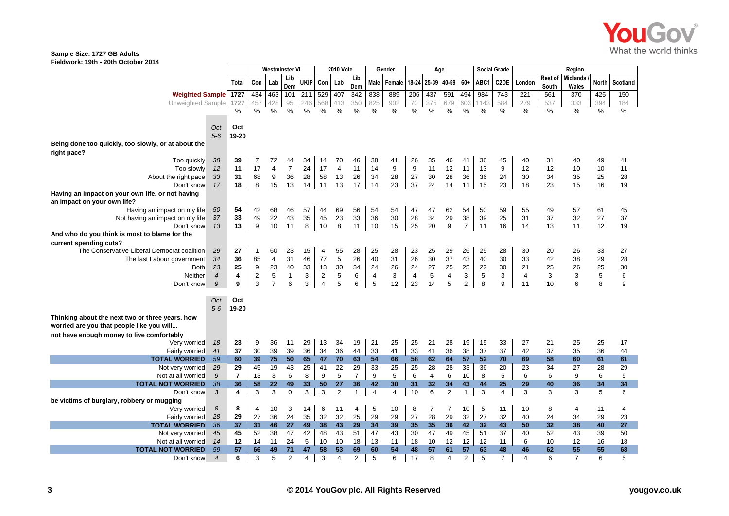

|                                                     |                          | Westminster VI |                  | <b>2010 Vote</b><br>Gender |                      |             |                         |                      | Age            |                |                |                |                   | <b>Social Grade</b> |                | Region   |                |                |                         |                          |              |          |
|-----------------------------------------------------|--------------------------|----------------|------------------|----------------------------|----------------------|-------------|-------------------------|----------------------|----------------|----------------|----------------|----------------|-------------------|---------------------|----------------|----------|----------------|----------------|-------------------------|--------------------------|--------------|----------|
|                                                     |                          | <b>Total</b>   | Con              | Lab                        | Lib<br>Dem           | <b>UKIP</b> | Con                     | Lab                  | Lib<br>Dem     | Male           | Female         |                | 18-24 25-39 40-59 |                     | $60+$          | ABC1     | C2DE           | London         | Rest of<br><b>South</b> | <b>Midlands</b><br>Wales | <b>North</b> | Scotland |
| <b>Weighted Sample 1727</b>                         |                          |                | 434              | 463                        | 101                  | 211         | 529                     | 407                  | 342            | 838            | 889            | 206            | 437               | 591                 | 494            | 984      | 743            | 221            | 561                     | 370                      | 425          | 150      |
| Unweighted Sample                                   |                          | 1727           | 457              | 428                        | 95                   | 246         | 568                     | 413                  | 350            | 825            | 902            | 70             | 375               | 679                 | 603            | 1143     | 584            | 279            | 537                     | 333                      | 394          | 184      |
|                                                     |                          | %              | %                | %                          | %                    | $\%$        | $\%$                    | $\%$                 | $\%$           | %              | $\%$           | %              | %                 | $\%$                | $\%$           | %        | $\%$           | $\%$           | $\%$                    | %                        | %            | %        |
|                                                     |                          |                |                  |                            |                      |             |                         |                      |                |                |                |                |                   |                     |                |          |                |                |                         |                          |              |          |
|                                                     | Oct                      | Oct            |                  |                            |                      |             |                         |                      |                |                |                |                |                   |                     |                |          |                |                |                         |                          |              |          |
|                                                     | $5-6$                    | 19-20          |                  |                            |                      |             |                         |                      |                |                |                |                |                   |                     |                |          |                |                |                         |                          |              |          |
| Being done too quickly, too slowly, or at about the |                          |                |                  |                            |                      |             |                         |                      |                |                |                |                |                   |                     |                |          |                |                |                         |                          |              |          |
| right pace?                                         |                          | 39             |                  |                            |                      |             |                         |                      |                |                |                |                |                   |                     |                |          |                |                |                         |                          |              |          |
| Too quickly<br>Too slowly                           | 38<br>12                 | 11             | 7<br>17          | 72<br>4                    | 44<br>$\overline{7}$ | 34<br>24    | 14<br>17                | 70<br>$\overline{4}$ | 46<br>11       | 38<br>14       | 41<br>9        | 26<br>9        | 35<br>11          | 46<br>12            | 41<br>11       | 36<br>13 | 45<br>9        | 40<br>12       | 31<br>12                | 40<br>10                 | 49<br>10     | 41<br>11 |
| About the right pace                                | 33                       | 31             | 68               | 9                          | 36                   | 28          | 58                      | 13                   | 26             | 34             | 28             | 27             | 30                | 28                  | 36             | 36       | 24             | 30             | 34                      | 35                       | 25           | 28       |
| Don't know                                          | 17                       | 18             | 8                | 15                         | 13                   | 14          | 11                      | 13                   | 17             | 14             | 23             | 37             | 24                | 14                  | 11             | 15       | 23             | 18             | 23                      | 15                       | 16           | 19       |
| Having an impact on your own life, or not having    |                          |                |                  |                            |                      |             |                         |                      |                |                |                |                |                   |                     |                |          |                |                |                         |                          |              |          |
| an impact on your own life?                         |                          |                |                  |                            |                      |             |                         |                      |                |                |                |                |                   |                     |                |          |                |                |                         |                          |              |          |
| Having an impact on my life                         | 50                       | 54             | 42               | 68                         | 46                   | 57          | 44                      | 69                   | 56             | 54             | 54             | 47             | 47                | 62                  | 54             | 50       | 59             | 55             | 49                      | 57                       | 61           | 45       |
| Not having an impact on my life                     | 37                       | 33             | 49               | 22                         | 43                   | 35          | 45                      | 23                   | 33             | 36             | 30             | 28             | 34                | 29                  | 38             | 39       | 25             | 31             | 37                      | 32                       | 27           | 37       |
| Don't know                                          | 13                       | 13             | 9                | 10                         | 11                   | 8           | 10                      | 8                    | 11             | 10             | 15             | 25             | 20                | 9                   | $\overline{7}$ | 11       | 16             | 14             | 13                      | 11                       | 12           | 19       |
| And who do you think is most to blame for the       |                          |                |                  |                            |                      |             |                         |                      |                |                |                |                |                   |                     |                |          |                |                |                         |                          |              |          |
| current spending cuts?                              |                          |                |                  |                            |                      |             |                         |                      |                |                |                |                |                   |                     |                |          |                |                |                         |                          |              |          |
| The Conservative-Liberal Democrat coalition         | 29                       | 27             | $\mathbf{1}$     | 60                         | 23                   | 15          | 4                       | 55                   | 28             | 25             | 28             | 23             | 25                | 29                  | 26             | 25       | 28             | 30             | 20                      | 26                       | 33           | 27       |
| The last Labour government                          | 34                       | 36             | 85               | $\overline{4}$             | 31                   | 46          | 77                      | 5                    | 26             | 40             | 31             | 26             | 30                | 37                  | 43             | 40       | 30             | 33             | 42                      | 38                       | 29           | 28       |
| Both                                                | 23                       | 25             | $\boldsymbol{9}$ | 23                         | 40                   | 33          | 13                      | 30                   | 34             | 24             | 26             | 24             | 27                | 25                  | 25             | 22       | 30             | 21             | 25                      | 26                       | 25           | 30       |
| Neither                                             | $\overline{4}$           | 4              | $\overline{2}$   | 5                          | $\mathbf{1}$         | 3           | $\overline{\mathbf{c}}$ | 5                    | 6              | $\overline{4}$ | 3              | $\overline{4}$ | $\sqrt{5}$        | $\overline{4}$      | 3              | 5        | 3              | $\overline{4}$ | 3                       | 3                        | $\,$ 5 $\,$  | 6        |
| Don't know                                          | 9                        | 9              | 3                | $\overline{7}$             | 6                    | 3           | $\overline{4}$          | 5                    | 6              | 5              | 12             | 23             | 14                | 5                   | $\overline{2}$ | 8        | 9              | 11             | 10                      | 6                        | 8            | 9        |
|                                                     |                          |                |                  |                            |                      |             |                         |                      |                |                |                |                |                   |                     |                |          |                |                |                         |                          |              |          |
|                                                     | Oct                      | Oct            |                  |                            |                      |             |                         |                      |                |                |                |                |                   |                     |                |          |                |                |                         |                          |              |          |
|                                                     | $5-6$                    | 19-20          |                  |                            |                      |             |                         |                      |                |                |                |                |                   |                     |                |          |                |                |                         |                          |              |          |
| Thinking about the next two or three years, how     |                          |                |                  |                            |                      |             |                         |                      |                |                |                |                |                   |                     |                |          |                |                |                         |                          |              |          |
| worried are you that people like you will           |                          |                |                  |                            |                      |             |                         |                      |                |                |                |                |                   |                     |                |          |                |                |                         |                          |              |          |
| not have enough money to live comfortably           |                          |                |                  |                            |                      |             |                         |                      |                |                |                |                |                   |                     |                |          |                |                |                         |                          |              |          |
| Very worried                                        | 18                       | 23             | 9                | 36                         | 11                   | 29          | 13                      | 34                   | 19             | 21             | 25             | 25             | 21                | 28                  | 19             | 15       | 33             | 27             | 21                      | 25                       | 25           | 17       |
| Fairly worried                                      | 41                       | 37             | 30               | 39                         | 39                   | 36          | 34                      | 36                   | 44             | 33             | 41             | 33             | 41                | 36                  | 38             | 37       | 37             | 42             | 37                      | 35                       | 36           | 44       |
| <b>TOTAL WORRIED</b>                                | 59                       | 60             | 39               | 75                         | 50                   | 65          | 47                      | 70                   | 63             | 54             | 66             | 58             | 62                | 64                  | 57             | 52       | 70             | 69             | 58                      | 60                       | 61           | 61       |
| Not very worried                                    | 29                       | 29             | 45               | 19                         | 43                   | 25          | 41                      | 22                   | 29             | 33             | 25             | 25             | 28                | 28                  | 33             | 36       | 20             | 23             | 34                      | 27                       | 28           | 29       |
| Not at all worried                                  | 9                        | $\overline{7}$ | 13               | 3                          | 6                    | 8           | 9                       | 5                    | $\overline{7}$ | 9              | 5              | 6              | $\overline{4}$    | 6                   | 10             | 8        | 5              | 6              | 6                       | 9                        | 6            | 5        |
| <b>TOTAL NOT WORRIED</b>                            | 38                       | 36             | 58               | 22                         | 49                   | 33          | 50                      | 27                   | 36             | 42             | 30             | 31             | 32                | 34                  | 43             | 44       | 25             | 29             | 40                      | 36                       | 34           | 34       |
| Don't know                                          | 3                        | 4              | 3                | 3                          | $\Omega$             | 3           | 3                       | $\overline{2}$       | $\mathbf{1}$   | $\overline{4}$ | $\overline{4}$ | 10             | 6                 | $\overline{2}$      | $\mathbf{1}$   | 3        | $\overline{4}$ | 3              | 3                       | 3                        | 5            | 6        |
| be victims of burglary, robbery or mugging          |                          |                |                  |                            |                      |             |                         |                      |                |                |                |                |                   |                     |                |          |                |                |                         |                          |              |          |
| Very worried                                        | 8                        | 8<br>29        | 4<br>27          | 10                         | 3                    | 14<br>35    | 6                       | 11                   | 4              | 5              | 10             | 8<br>27        | 7<br>28           | 7<br>29             | 10             | 5        | 11             | 10             | 8                       | 4                        | 11           | 4        |
| Fairly worried<br><b>TOTAL WORRIED</b>              | 28<br>36                 | 37             | 31               | 36<br>46                   | 24<br>27             | 49          | 32<br>38                | 32<br>43             | 25<br>29       | 29<br>34       | 29<br>39       | 35             | 35                | 36                  | 32<br>42       | 27<br>32 | 32<br>43       | 40<br>50       | 24<br>32                | 34<br>38                 | 29<br>40     | 23<br>27 |
| Not very worried                                    | 45                       | 45             | 52               | 38                         | 47                   | 42          | 48                      | 43                   | 51             | 47             | 43             | 30             | 47                | 49                  | 45             | 51       | 37             | 40             | 52                      | 43                       | 39           | 50       |
| Not at all worried                                  | 14                       | 12             | 14               | 11                         | 24                   | 5           | 10                      | 10                   | 18             | 13             | 11             | 18             | 10                | 12                  | 12             | 12       | 11             | 6              | 10                      | 12                       | 16           | 18       |
| <b>TOTAL NOT WORRIED</b>                            | 59                       | 57             | 66               | 49                         | 71                   | 47          | 58                      | 53                   | 69             | 60             | 54             | 48             | 57                | 61                  | 57             | 63       | 48             | 46             | 62                      | 55                       | 55           | 68       |
| Don't know                                          | $\overline{\mathcal{A}}$ | 6              | 3                | 5                          | $\overline{2}$       | 4           | 3                       | 4                    | 2              | 5              | 6              | 17             | 8                 | 4                   | $\overline{2}$ | 5        | $\overline{7}$ | $\Delta$       | 6                       | $\overline{7}$           | 6            | 5        |
|                                                     |                          |                |                  |                            |                      |             |                         |                      |                |                |                |                |                   |                     |                |          |                |                |                         |                          |              |          |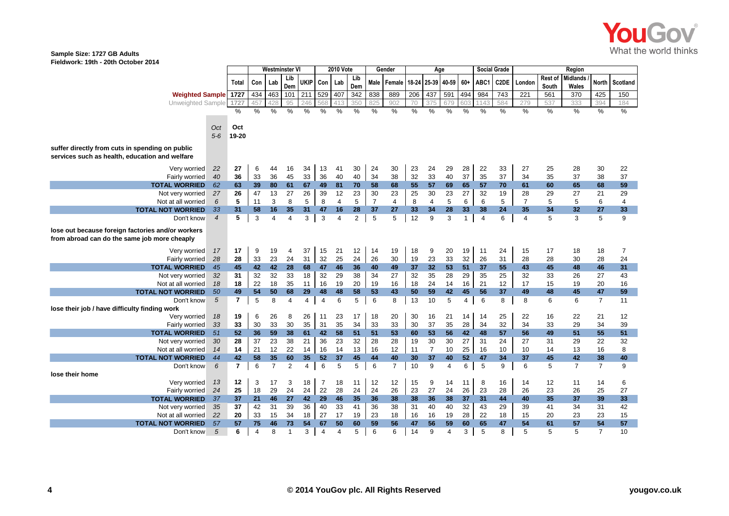

|                                                                                                   |                | Westminster VI |               |                | <b>2010 Vote</b> |                |                | Gender         |                |                | Age                |          |                |                | <b>Social Grade</b> |                  | Region          |                |                  |                   |                |          |
|---------------------------------------------------------------------------------------------------|----------------|----------------|---------------|----------------|------------------|----------------|----------------|----------------|----------------|----------------|--------------------|----------|----------------|----------------|---------------------|------------------|-----------------|----------------|------------------|-------------------|----------------|----------|
|                                                                                                   |                | Total          | Con           | Lab            | Lib<br>Dem       | UKIP I         | Con            | Lab            | Lib<br>Dem     | Male           | Female 18-24 25-39 |          |                | 40-59          | $60 +$              | ABC <sub>1</sub> | C2DE            | London         | Rest of<br>South | Midlands<br>Wales | <b>North</b>   | Scotland |
| <b>Weighted Sample</b> 1727                                                                       |                |                | 434           | 463            | 101              | 211            | 529            | 407            | 342            | 838            | 889                | 206      | 437            | 591            | 494                 | 984              | $\frac{1}{743}$ | 221            | 561              | $\overline{370}$  | 425            | 150      |
| Unweighted Sample                                                                                 | 1727           |                | 457           | 428            | 95               | 246            | 568            | 413            | 350            | 825            | 902                | 70       | 375            | 679            | 603                 | 1143             | 584             | 279            | 537              | 333               | 394            | 184      |
|                                                                                                   |                | %              | $\frac{0}{0}$ | %              | %                | %              | $\frac{0}{0}$  | %              | %              | $\frac{0}{0}$  | $\%$               | %        | $\%$           | %              | $\%$                | %                | $\%$            | $\%$           | %                | $\%$              | $\%$           | %        |
|                                                                                                   |                |                |               |                |                  |                |                |                |                |                |                    |          |                |                |                     |                  |                 |                |                  |                   |                |          |
|                                                                                                   | Oct            | Oct            |               |                |                  |                |                |                |                |                |                    |          |                |                |                     |                  |                 |                |                  |                   |                |          |
|                                                                                                   | $5-6$          | 19-20          |               |                |                  |                |                |                |                |                |                    |          |                |                |                     |                  |                 |                |                  |                   |                |          |
| suffer directly from cuts in spending on public<br>services such as health, education and welfare |                |                |               |                |                  |                |                |                |                |                |                    |          |                |                |                     |                  |                 |                |                  |                   |                |          |
| Very worried                                                                                      | 22             | 27             | 6             | 44             | 16               | 34             | 13             | 41             | 30             | 24             | 30                 | 23       | 24             | 29             | 28                  | 22               | 33              | 27             | 25               | 28                | 30             | 22       |
| Fairly worried                                                                                    | 40             | 36             | 33            | 36             | 45               | 33             | 36             | 40             | 40             | 34             | 38                 | 32       | 33             | 40             | 37                  | 35               | 37              | 34             | 35               | 37                | 38             | 37       |
| <b>TOTAL WORRIED</b>                                                                              | 62             | 63             | 39            | 80             | 61               | 67             | 49             | 81             | 70             | 58             | 68                 | 55       | 57             | 69             | 65                  | 57               | 70              | 61             | 60               | 65                | 68             | 59       |
| Not very worried                                                                                  | 27             | 26             | 47            | 13             | 27               | 26             | 39             | 12             | 23             | 30             | 23                 | 25       | 30             | 23             | 27                  | 32               | 19              | 28             | 29               | 27                | 21             | 29       |
| Not at all worried                                                                                | 6              | 5              | 11            | 3              | 8                | 5              | 8              | $\overline{4}$ | 5              | $\overline{7}$ | 4                  | 8        | 4              | 5              | 6                   | 6                | 5               | $\overline{7}$ | 5                | 5                 | 6              | 4        |
| <b>TOTAL NOT WORRIED</b>                                                                          | 33             | 31             | 58            | 16             | 35               | 31             | 47             | 16             | 28             | 37             | 27                 | 33       | 34             | 28             | 33                  | 38               | 24              | 35             | 34               | 32                | 27             | 33       |
| Don't know                                                                                        | $\overline{4}$ | 5              | 3             | $\overline{4}$ | 4                | 3              | 3              | 4              | $\overline{2}$ | 5              | 5                  | 12       | 9              | 3              | $\mathbf{1}$        | $\overline{4}$   | 6               | $\overline{4}$ | 5                | 3                 | 5              | 9        |
| lose out because foreign factories and/or workers<br>from abroad can do the same job more cheaply |                |                |               |                |                  |                |                |                |                |                |                    |          |                |                |                     |                  |                 |                |                  |                   |                |          |
| Very worried                                                                                      | 17             | 17             | 9             | 19             | 4                | 37             | 15             | 21             | 12             | 14             | 19                 | 18       | 9              | 20             | 19                  | 11               | 24              | 15             | 17               | 18                | 18             | 7        |
| Fairly worried                                                                                    | 28             | 28             | 33            | 23             | 24               | 31             | 32             | 25             | 24             | 26             | 30                 | 19       | 23             | 33             | 32                  | 26               | 31              | 28             | 28               | 30                | 28             | 24       |
| <b>TOTAL WORRIED</b>                                                                              | 45             | 45             | 42            | 42             | 28               | 68             | 47             | 46             | 36             | 40             | 49                 | 37       | 32             | 53             | 51                  | 37               | 55              | 43             | 45               | 48                | 46             | 31       |
| Not very worried                                                                                  | 32             | 31             | 32            | 32             | 33               | 18             | 32             | 29             | 38             | 34             | 27                 | 32       | 35             | 28             | 29                  | 35               | 25              | 32             | 33               | 26                | 27             | 43       |
| Not at all worried                                                                                | 18             | 18             | 22            | 18             | 35               | 11             | 16             | 19             | 20             | 19             | 16                 | 18       | 24             | 14             | 16                  | 21               | 12              | 17             | 15               | 19                | 20             | 16       |
| <b>TOTAL NOT WORRIED</b>                                                                          | 50             | 49             | 54            | 50             | 68               | 29             | 48             | 48             | 58             | 53             | 43                 | 50       | 59             | 42             | 45                  | 56               | 37              | 49             | 48               | 45                | 47             | 59       |
| Don't know                                                                                        | 5              | $\overline{7}$ | 5             | 8              | 4                | $\overline{4}$ | $\overline{4}$ | 6              | 5              | 6              | 8                  | 13       | 10             | 5              | $\overline{4}$      | 6                | 8               | 8              | 6                | 6                 | $\overline{7}$ | 11       |
| lose their job / have difficulty finding work                                                     |                |                |               |                |                  |                |                |                |                |                |                    |          |                |                |                     |                  |                 |                |                  |                   |                |          |
| Verv worried                                                                                      | 18             | 19             | 6             | 26             | 8                | 26             | 11             | 23             | 17             | 18             | 20                 | 30       | 16             | 21             | 14                  | 14               | 25              | 22             | 16               | 22                | 21             | 12       |
| Fairly worried                                                                                    | 33             | 33<br>52       | 30<br>36      | 33             | 30<br>38         | 35<br>61       | 31<br>42       | 35<br>58       | 34<br>51       | 33<br>51       | 33<br>53           | 30<br>60 | 37<br>53       | 35<br>56       | 28<br>42            | 34<br>48         | 32<br>57        | 34<br>56       | 33<br>49         | 29<br>51          | 34             | 39       |
| <b>TOTAL WORRIED</b>                                                                              | 51             | 28             |               | 59             | 38               |                | 36             | 23             | 32             |                |                    |          | 30             | 30             | 27                  |                  |                 |                |                  |                   | 55<br>22       | 51       |
| Not very worried<br>Not at all worried                                                            | 30<br>14       | 14             | 37<br>21      | 23<br>12       | 22               | 21<br>14       | 16             | 14             | 13             | 28<br>16       | 28<br>12           | 19<br>11 | $\overline{7}$ | 10             | 25                  | 31<br>16         | 24<br>10        | 27<br>10       | 31<br>14         | 29<br>13          | 16             | 32<br>8  |
| <b>TOTAL NOT WORRIED</b>                                                                          | 44             | 42             | 58            | 35             | 60               | 35             | 52             | 37             | 45             | 44             | 40                 | 30       | 37             | 40             | 52                  | 47               | 34              | 37             | 45               | 42                | 38             | 40       |
| Don't know                                                                                        | 6              | $\overline{7}$ | 6             | $\overline{7}$ | $\overline{2}$   | $\overline{4}$ | 6              | 5              | 5              | 6              | $\overline{7}$     | 10       | 9              | $\overline{4}$ | 6                   | 5                | 9               | 6              | 5                | $\overline{7}$    | $\overline{7}$ | 9        |
| lose their home<br>Very worried                                                                   | 13             | 12             | 3             | 17             | 3                | 18             | $\overline{7}$ | 18             | 11             | 12             | 12                 | 15       | 9              | 14             | 11                  | 8                | 16              | 14             | 12               | 11                | 14             | 6        |
| Fairly worried                                                                                    | 24             | 25             | 18            | 29             | 24               | 24             | 22             | 28             | 24             | 24             | 26                 | 23       | 27             | 24             | 26                  | 23               | 28              | 26             | 23               | 26                | 25             | 27       |
| <b>TOTAL WORRIED</b>                                                                              | 37             | 37             | 21            | 46             | 27               | 42             | 29             | 46             | 35             | 36             | 38                 | 38       | 36             | 38             | 37                  | 31               | 44              | 40             | 35               | 37                | 39             | 33       |
| Not very worried                                                                                  | 35             | 37             | 42            | 31             | 39               | 36             | 40             | 33             | 41             | 36             | 38                 | 31       | 40             | 40             | 32                  | 43               | 29              | 39             | 41               | 34                | 31             | 42       |
| Not at all worried                                                                                | 22             | 20             | 33            | 15             | 34               | 18             | 27             | 17             | 19             | 23             | 18                 | 16       | 16             | 19             | 28                  | 22               | 18              | 15             | 20               | 23                | 23             | 15       |
| <b>TOTAL NOT WORRIED</b>                                                                          | 57             | 57             | 75            | 46             | 73               | 54             | 67             | 50             | 60             | 59             | 56                 | 47       | 56             | 59             | 60                  | 65               | 47              | 54             | 61               | 57                | 54             | 57       |
| Don't know                                                                                        | 5              | 6              | 4             | 8              | -1               | 3              | 4              | 4              | 5              | 6              | 6                  | 14       | 9              | 4              | 3                   | 5                | 8               | 5              | 5                | 5                 | $\overline{7}$ | 10       |